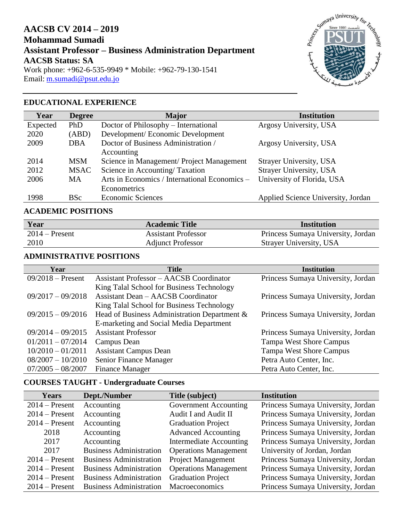# **AACSB CV 2014 – 2019 Mohammad Sumadi Assistant Professor – Business Administration Department AACSB Status: SA** Work phone: +962-6-535-9949 \* Mobile: +962-79-130-1541 Email: [m.sumadi@psut.edu.jo](mailto:m.sumadi@psut.edu.jo)



### **EDUCATIONAL EXPERIENCE**

| Year     | <b>Degree</b> | <b>Major</b>                                  | <b>Institution</b>                 |
|----------|---------------|-----------------------------------------------|------------------------------------|
| Expected | <b>PhD</b>    | Doctor of Philosophy – International          | Argosy University, USA             |
| 2020     | (ABD)         | Development/Economic Development              |                                    |
| 2009     | DBA           | Doctor of Business Administration /           | Argosy University, USA             |
|          |               | Accounting                                    |                                    |
| 2014     | <b>MSM</b>    | Science in Management/ Project Management     | Strayer University, USA            |
| 2012     | <b>MSAC</b>   | Science in Accounting/Taxation                | Strayer University, USA            |
| 2006     | <b>MA</b>     | Arts in Economics / International Economics - | University of Florida, USA         |
|          |               | Econometrics                                  |                                    |
| 1998     | <b>BSc</b>    | <b>Economic Sciences</b>                      | Applied Science University, Jordan |

### **ACADEMIC POSITIONS**

| Year             | <b>Academic Title</b>      | Institution                        |
|------------------|----------------------------|------------------------------------|
| $2014$ – Present | <b>Assistant Professor</b> | Princess Sumaya University, Jordan |
| 2010             | <b>Adjunct Professor</b>   | Strayer University, USA            |

#### **ADMINISTRATIVE POSITIONS**

| Year                | <b>Title</b>                                   | <b>Institution</b>                 |
|---------------------|------------------------------------------------|------------------------------------|
| $09/2018 -$ Present | <b>Assistant Professor - AACSB Coordinator</b> | Princess Sumaya University, Jordan |
|                     | King Talal School for Business Technology      |                                    |
| $09/2017 - 09/2018$ | <b>Assistant Dean - AACSB Coordinator</b>      | Princess Sumaya University, Jordan |
|                     | King Talal School for Business Technology      |                                    |
| $09/2015 - 09/2016$ | Head of Business Administration Department &   | Princess Sumaya University, Jordan |
|                     | E-marketing and Social Media Department        |                                    |
| $09/2014 - 09/2015$ | <b>Assistant Professor</b>                     | Princess Sumaya University, Jordan |
| $01/2011 - 07/2014$ | Campus Dean                                    | <b>Tampa West Shore Campus</b>     |
| $10/2010 - 01/2011$ | <b>Assistant Campus Dean</b>                   | <b>Tampa West Shore Campus</b>     |
| $08/2007 - 10/2010$ | Senior Finance Manager                         | Petra Auto Center, Inc.            |
| $07/2005 - 08/2007$ | <b>Finance Manager</b>                         | Petra Auto Center, Inc.            |

## **COURSES TAUGHT - Undergraduate Courses**

| <b>Years</b>     | Dept./Number                   | Title (subject)                | <b>Institution</b>                 |
|------------------|--------------------------------|--------------------------------|------------------------------------|
| $2014$ – Present | Accounting                     | Government Accounting          | Princess Sumaya University, Jordan |
| $2014$ – Present | Accounting                     | Audit I and Audit II           | Princess Sumaya University, Jordan |
| $2014$ – Present | Accounting                     | <b>Graduation Project</b>      | Princess Sumaya University, Jordan |
| 2018             | Accounting                     | <b>Advanced Accounting</b>     | Princess Sumaya University, Jordan |
| 2017             | Accounting                     | <b>Intermediate Accounting</b> | Princess Sumaya University, Jordan |
| 2017             | <b>Business Administration</b> | <b>Operations Management</b>   | University of Jordan, Jordan       |
| $2014$ – Present | <b>Business Administration</b> | <b>Project Management</b>      | Princess Sumaya University, Jordan |
| $2014$ – Present | <b>Business Administration</b> | <b>Operations Management</b>   | Princess Sumaya University, Jordan |
| $2014$ – Present | <b>Business Administration</b> | <b>Graduation Project</b>      | Princess Sumaya University, Jordan |
| $2014$ – Present | <b>Business Administration</b> | Macroeconomics                 | Princess Sumaya University, Jordan |